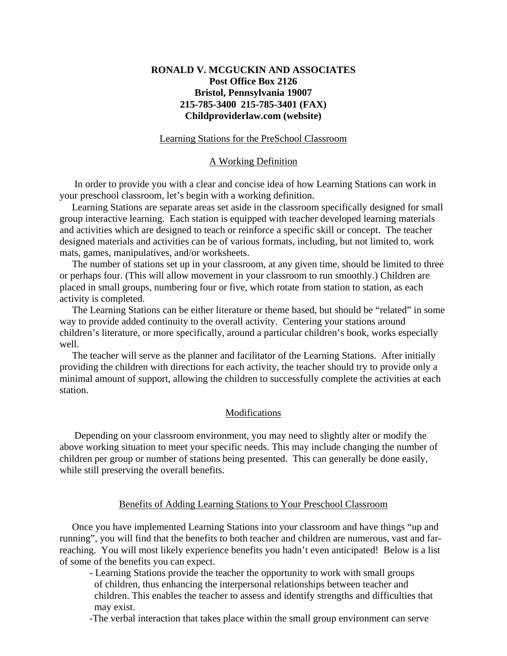# **RONALD V. MCGUCKIN AND ASSOCIATES Post Office Box 2126 Bristol, Pennsylvania 19007 215-785-3400 215-785-3401 (FAX) Childproviderlaw.com (website)**

## Learning Stations for the PreSchool Classroom

### A Working Definition

 In order to provide you with a clear and concise idea of how Learning Stations can work in your preschool classroom, let's begin with a working definition.

 Learning Stations are separate areas set aside in the classroom specifically designed for small group interactive learning. Each station is equipped with teacher developed learning materials and activities which are designed to teach or reinforce a specific skill or concept. The teacher designed materials and activities can be of various formats, including, but not limited to, work mats, games, manipulatives, and/or worksheets.

 The number of stations set up in your classroom, at any given time, should be limited to three or perhaps four. (This will allow movement in your classroom to run smoothly.) Children are placed in small groups, numbering four or five, which rotate from station to station, as each activity is completed.

 The Learning Stations can be either literature or theme based, but should be "related" in some way to provide added continuity to the overall activity. Centering your stations around children's literature, or more specifically, around a particular children's book, works especially well.

 The teacher will serve as the planner and facilitator of the Learning Stations. After initially providing the children with directions for each activity, the teacher should try to provide only a minimal amount of support, allowing the children to successfully complete the activities at each station.

#### **Modifications**

 Depending on your classroom environment, you may need to slightly alter or modify the above working situation to meet your specific needs. This may include changing the number of children per group or number of stations being presented. This can generally be done easily, while still preserving the overall benefits.

### Benefits of Adding Learning Stations to Your Preschool Classroom

 Once you have implemented Learning Stations into your classroom and have things "up and running", you will find that the benefits to both teacher and children are numerous, vast and farreaching. You will most likely experience benefits you hadn't even anticipated! Below is a list of some of the benefits you can expect.

- Learning Stations provide the teacher the opportunity to work with small groups of children, thus enhancing the interpersonal relationships between teacher and children. This enables the teacher to assess and identify strengths and difficulties that may exist.
- -The verbal interaction that takes place within the small group environment can serve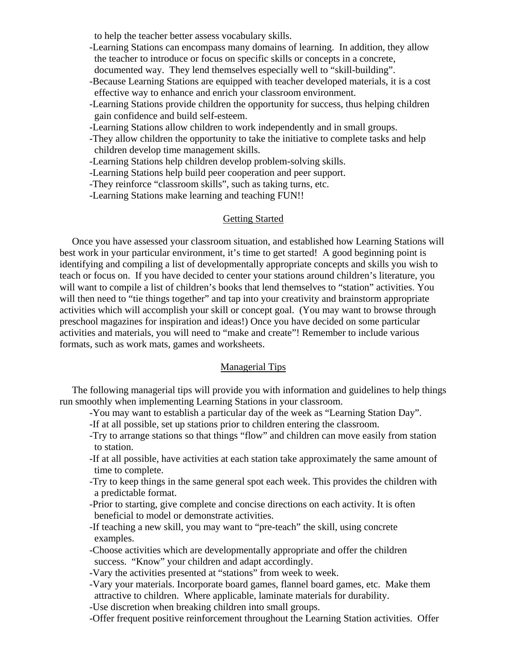to help the teacher better assess vocabulary skills.

- -Learning Stations can encompass many domains of learning. In addition, they allow the teacher to introduce or focus on specific skills or concepts in a concrete,
- documented way. They lend themselves especially well to "skill-building".
- -Because Learning Stations are equipped with teacher developed materials, it is a cost effective way to enhance and enrich your classroom environment.
- -Learning Stations provide children the opportunity for success, thus helping children gain confidence and build self-esteem.
- -Learning Stations allow children to work independently and in small groups.
- -They allow children the opportunity to take the initiative to complete tasks and help children develop time management skills.
- -Learning Stations help children develop problem-solving skills.
- -Learning Stations help build peer cooperation and peer support.
- -They reinforce "classroom skills", such as taking turns, etc.
- -Learning Stations make learning and teaching FUN!!

## Getting Started

 Once you have assessed your classroom situation, and established how Learning Stations will best work in your particular environment, it's time to get started! A good beginning point is identifying and compiling a list of developmentally appropriate concepts and skills you wish to teach or focus on. If you have decided to center your stations around children's literature, you will want to compile a list of children's books that lend themselves to "station" activities. You will then need to "tie things together" and tap into your creativity and brainstorm appropriate activities which will accomplish your skill or concept goal. (You may want to browse through preschool magazines for inspiration and ideas!) Once you have decided on some particular activities and materials, you will need to "make and create"! Remember to include various formats, such as work mats, games and worksheets.

## Managerial Tips

 The following managerial tips will provide you with information and guidelines to help things run smoothly when implementing Learning Stations in your classroom.

- -You may want to establish a particular day of the week as "Learning Station Day".
- -If at all possible, set up stations prior to children entering the classroom.
- -Try to arrange stations so that things "flow" and children can move easily from station to station.
- -If at all possible, have activities at each station take approximately the same amount of time to complete.
- -Try to keep things in the same general spot each week. This provides the children with a predictable format.
- -Prior to starting, give complete and concise directions on each activity. It is often beneficial to model or demonstrate activities.
- -If teaching a new skill, you may want to "pre-teach" the skill, using concrete examples.
- -Choose activities which are developmentally appropriate and offer the children success. "Know" your children and adapt accordingly.
- -Vary the activities presented at "stations" from week to week.
- -Vary your materials. Incorporate board games, flannel board games, etc. Make them attractive to children. Where applicable, laminate materials for durability.
- -Use discretion when breaking children into small groups.
- -Offer frequent positive reinforcement throughout the Learning Station activities. Offer